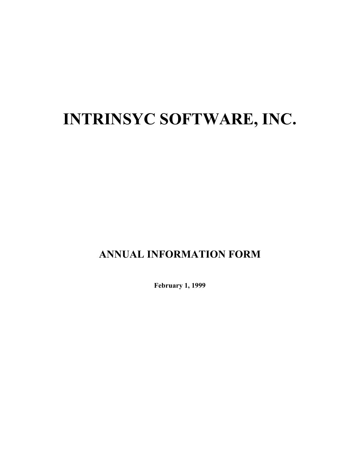# **INTRINSYC SOFTWARE, INC.**

# **ANNUAL INFORMATION FORM**

**February 1, 1999**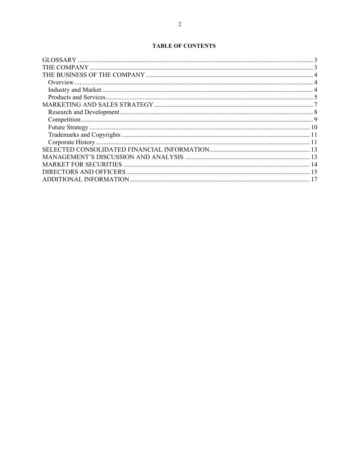### **TABLE OF CONTENTS**

| -15 |
|-----|
|     |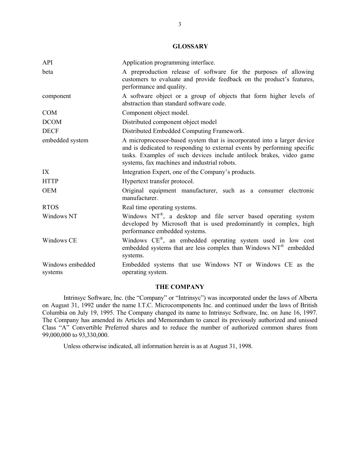#### **GLOSSARY**

| API                         | Application programming interface.                                                                                                                                                                                                                                         |
|-----------------------------|----------------------------------------------------------------------------------------------------------------------------------------------------------------------------------------------------------------------------------------------------------------------------|
| beta                        | A preproduction release of software for the purposes of allowing<br>customers to evaluate and provide feedback on the product's features,<br>performance and quality.                                                                                                      |
| component                   | A software object or a group of objects that form higher levels of<br>abstraction than standard software code.                                                                                                                                                             |
| <b>COM</b>                  | Component object model.                                                                                                                                                                                                                                                    |
| <b>DCOM</b>                 | Distributed component object model                                                                                                                                                                                                                                         |
| <b>DECF</b>                 | Distributed Embedded Computing Framework.                                                                                                                                                                                                                                  |
| embedded system             | A microprocessor-based system that is incorporated into a larger device<br>and is dedicated to responding to external events by performing specific<br>tasks. Examples of such devices include antilock brakes, video game<br>systems, fax machines and industrial robots. |
| IX                          | Integration Expert, one of the Company's products.                                                                                                                                                                                                                         |
| <b>HTTP</b>                 | Hypertext transfer protocol.                                                                                                                                                                                                                                               |
| <b>OEM</b>                  | Original equipment manufacturer, such as a consumer electronic<br>manufacturer.                                                                                                                                                                                            |
| <b>RTOS</b>                 | Real time operating systems.                                                                                                                                                                                                                                               |
| Windows NT                  | Windows NT®, a desktop and file server based operating system<br>developed by Microsoft that is used predominantly in complex, high<br>performance embedded systems.                                                                                                       |
| Windows CE                  | Windows CE®, an embedded operating system used in low cost<br>embedded systems that are less complex than Windows $NT^{\omega}$ embedded<br>systems.                                                                                                                       |
| Windows embedded<br>systems | Embedded systems that use Windows NT or Windows CE as the<br>operating system.                                                                                                                                                                                             |

#### **THE COMPANY**

Intrinsyc Software, Inc. (the "Company" or "Intrinsyc") was incorporated under the laws of Alberta on August 31, 1992 under the name I.T.C. Microcomponents Inc. and continued under the laws of British Columbia on July 19, 1995. The Company changed its name to Intrinsyc Software, Inc. on June 16, 1997. The Company has amended its Articles and Memorandum to cancel its previously authorized and unissed Class "A" Convertible Preferred shares and to reduce the number of authorized common shares from 99,000,000 to 93,330,000.

Unless otherwise indicated, all information herein is as at August 31, 1998.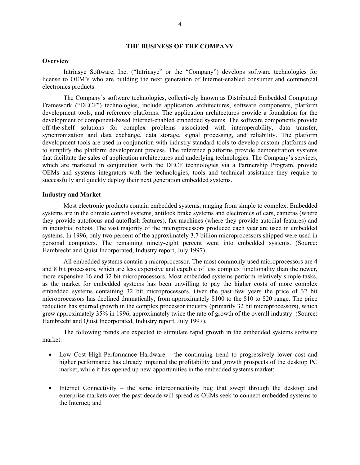#### **THE BUSINESS OF THE COMPANY**

#### **Overview**

Intrinsyc Software, Inc. ("Intrinsyc" or the "Company") develops software technologies for license to OEM's who are building the next generation of Internet-enabled consumer and commercial electronics products.

The Company's software technologies, collectively known as Distributed Embedded Computing Framework ("DECF") technologies, include application architectures, software components, platform development tools, and reference platforms. The application architectures provide a foundation for the development of component-based Internet-enabled embedded systems. The software components provide off-the-shelf solutions for complex problems associated with interoperability, data transfer, synchronization and data exchange, data storage, signal processing, and reliability. The platform development tools are used in conjunction with industry standard tools to develop custom platforms and to simplify the platform development process. The reference platforms provide demonstration systems that facilitate the sales of application architectures and underlying technologies. The Company's services, which are marketed in conjunction with the DECF technologies via a Partnership Program, provide OEMs and systems integrators with the technologies, tools and technical assistance they require to successfully and quickly deploy their next generation embedded systems.

#### **Industry and Market**

Most electronic products contain embedded systems, ranging from simple to complex. Embedded systems are in the climate control systems, antilock brake systems and electronics of cars, cameras (where they provide autofocus and autoflash features), fax machines (where they provide autodial features) and in industrial robots. The vast majority of the microprocessors produced each year are used in embedded systems. In 1996, only two percent of the approximately 3.7 billion microprocessors shipped were used in personal computers. The remaining ninety-eight percent went into embedded systems. (Source: Hambrecht and Quist Incorporated, Industry report, July 1997).

All embedded systems contain a microprocessor. The most commonly used microprocessors are 4 and 8 bit processors, which are less expensive and capable of less complex functionality than the newer, more expensive 16 and 32 bit microprocessors. Most embedded systems perform relatively simple tasks, as the market for embedded systems has been unwilling to pay the higher costs of more complex embedded systems containing 32 bit microprocessors. Over the past few years the price of 32 bit microprocessors has declined dramatically, from approximately \$100 to the \$10 to \$20 range. The price reduction has spurred growth in the complex processor industry (primarily 32 bit microprocessors), which grew approximately 35% in 1996, approximately twice the rate of growth of the overall industry. (Source: Hambrecht and Quist Incorporated, Industry report, July 1997).

The following trends are expected to stimulate rapid growth in the embedded systems software market:

- Low Cost High-Performance Hardware the continuing trend to progressively lower cost and higher performance has already impaired the profitability and growth prospects of the desktop PC market, while it has opened up new opportunities in the embedded systems market;
- Internet Connectivity the same interconnectivity bug that swept through the desktop and enterprise markets over the past decade will spread as OEMs seek to connect embedded systems to the Internet; and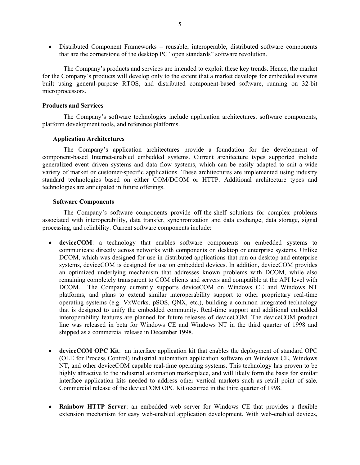• Distributed Component Frameworks – reusable, interoperable, distributed software components that are the cornerstone of the desktop PC "open standards" software revolution.

The Company's products and services are intended to exploit these key trends. Hence, the market for the Company's products will develop only to the extent that a market develops for embedded systems built using general-purpose RTOS, and distributed component-based software, running on 32-bit microprocessors.

#### **Products and Services**

The Company's software technologies include application architectures, software components, platform development tools, and reference platforms.

#### **Application Architectures**

The Company's application architectures provide a foundation for the development of component-based Internet-enabled embedded systems. Current architecture types supported include generalized event driven systems and data flow systems, which can be easily adapted to suit a wide variety of market or customer-specific applications. These architectures are implemented using industry standard technologies based on either COM/DCOM or HTTP. Additional architecture types and technologies are anticipated in future offerings.

#### **Software Components**

The Company's software components provide off-the-shelf solutions for complex problems associated with interoperability, data transfer, synchronization and data exchange, data storage, signal processing, and reliability. Current software components include:

- **deviceCOM**: a technology that enables software components on embedded systems to communicate directly across networks with components on desktop or enterprise systems. Unlike DCOM, which was designed for use in distributed applications that run on desktop and enterprise systems, deviceCOM is designed for use on embedded devices. In addition, deviceCOM provides an optimized underlying mechanism that addresses known problems with DCOM, while also remaining completely transparent to COM clients and servers and compatible at the API level with DCOM. The Company currently supports deviceCOM on Windows CE and Windows NT platforms, and plans to extend similar interoperability support to other proprietary real-time operating systems (e.g. VxWorks, pSOS, QNX, etc.), building a common integrated technology that is designed to unify the embedded community. Real-time support and additional embedded interoperability features are planned for future releases of deviceCOM. The deviceCOM product line was released in beta for Windows CE and Windows NT in the third quarter of 1998 and shipped as a commercial release in December 1998.
- **deviceCOM OPC Kit**: an interface application kit that enables the deployment of standard OPC (OLE for Process Control) industrial automation application software on Windows CE, Windows NT, and other deviceCOM capable real-time operating systems. This technology has proven to be highly attractive to the industrial automation marketplace, and will likely form the basis for similar interface application kits needed to address other vertical markets such as retail point of sale. Commercial release of the deviceCOM OPC Kit occurred in the third quarter of 1998.
- **Rainbow HTTP Server**: an embedded web server for Windows CE that provides a flexible extension mechanism for easy web-enabled application development. With web-enabled devices,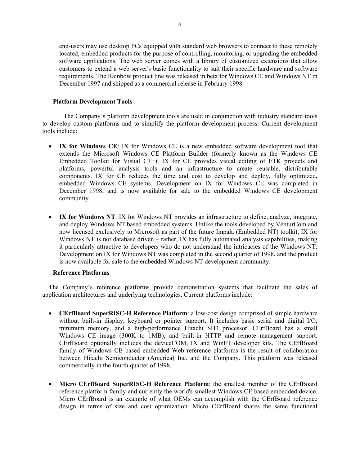end-users may use desktop PCs equipped with standard web browsers to connect to these remotely located, embedded products for the purpose of controlling, monitoring, or upgrading the embedded software applications. The web server comes with a library of customized extensions that allow customers to extend a web server's basic functionality to suit their specific hardware and software requirements. The Rainbow product line was released in beta for Windows CE and Windows NT in December 1997 and shipped as a commercial release in February 1998.

#### **Platform Development Tools**

The Company's platform development tools are used in conjunction with industry standard tools to develop custom platforms and to simplify the platform development process. Current development tools include:

- **IX for Windows CE**: IX for Windows CE is a new embedded software development tool that extends the Microsoft Windows CE Platform Builder (formerly known as the Windows CE Embedded Toolkit for Visual C++). IX for CE provides visual editing of ETK projects and platforms, powerful analysis tools and an infrastructure to create reusable, distributable components. IX for CE reduces the time and cost to develop and deploy, fully optimized, embedded Windows CE systems. Development on IX for Windows CE was completed in December 1998, and is now available for sale to the embedded Windows CE development community.
- **IX for Windows NT**: IX for Windows NT provides an infrastructure to define, analyze, integrate, and deploy Windows NT based embedded systems. Unlike the tools developed by VenturCom and now licensed exclusively to Microsoft as part of the future Impala (Embedded NT) toolkit, IX for Windows NT is not database driven – rather, IX has fully automated analysis capabilities, making it particularly attractive to developers who do not understand the intricacies of the Windows NT. Development on IX for Windows NT was completed in the second quarter of 1998, and the product is now available for sale to the embedded Windows NT development community.

#### **Reference Platforms**

The Company's reference platforms provide demonstration systems that facilitate the sales of application architectures and underlying technologies. Current platforms include:

- **CErfBoard SuperRISC-H Reference Platform**: a low-cost design comprised of simple hardware without built-in display, keyboard or pointer support. It includes basic serial and digital I/O, minimum memory, and a high-performance Hitachi SH3 processor. CErfBoard has a small Windows CE image (300K to 1MB), and built-in HTTP and remote management support. CErfBoard optionally includes the deviceCOM, IX and WinFT developer kits. The CErfBoard family of Windows CE based embedded Web reference platforms is the result of collaboration between Hitachi Semiconductor (America) Inc. and the Company. This platform was released commercially in the fourth quarter of 1998.
- **Micro CErfBoard SuperRISC-H Reference Platform**: the smallest member of the CErfBoard reference platform family and currently the world's smallest Windows CE based embedded device. Micro CErfBoard is an example of what OEMs can accomplish with the CErfBoard reference design in terms of size and cost optimization. Micro CErfBoard shares the same functional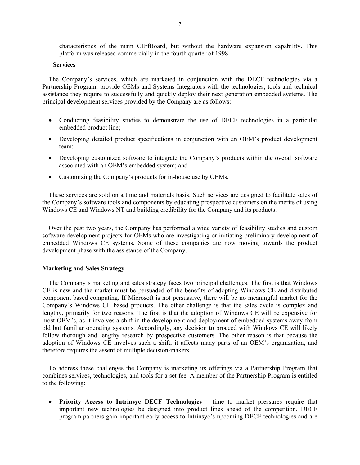characteristics of the main CErfBoard, but without the hardware expansion capability. This platform was released commercially in the fourth quarter of 1998.

#### **Services**

The Company's services, which are marketed in conjunction with the DECF technologies via a Partnership Program, provide OEMs and Systems Integrators with the technologies, tools and technical assistance they require to successfully and quickly deploy their next generation embedded systems. The principal development services provided by the Company are as follows:

- Conducting feasibility studies to demonstrate the use of DECF technologies in a particular embedded product line;
- Developing detailed product specifications in conjunction with an OEM's product development team;
- Developing customized software to integrate the Company's products within the overall software associated with an OEM's embedded system; and
- Customizing the Company's products for in-house use by OEMs.

These services are sold on a time and materials basis. Such services are designed to facilitate sales of the Company's software tools and components by educating prospective customers on the merits of using Windows CE and Windows NT and building credibility for the Company and its products.

Over the past two years, the Company has performed a wide variety of feasibility studies and custom software development projects for OEMs who are investigating or initiating preliminary development of embedded Windows CE systems. Some of these companies are now moving towards the product development phase with the assistance of the Company.

#### **Marketing and Sales Strategy**

The Company's marketing and sales strategy faces two principal challenges. The first is that Windows CE is new and the market must be persuaded of the benefits of adopting Windows CE and distributed component based computing. If Microsoft is not persuasive, there will be no meaningful market for the Company's Windows CE based products. The other challenge is that the sales cycle is complex and lengthy, primarily for two reasons. The first is that the adoption of Windows CE will be expensive for most OEM's, as it involves a shift in the development and deployment of embedded systems away from old but familiar operating systems. Accordingly, any decision to proceed with Windows CE will likely follow thorough and lengthy research by prospective customers. The other reason is that because the adoption of Windows CE involves such a shift, it affects many parts of an OEM's organization, and therefore requires the assent of multiple decision-makers.

To address these challenges the Company is marketing its offerings via a Partnership Program that combines services, technologies, and tools for a set fee. A member of the Partnership Program is entitled to the following:

• **Priority Access to Intrinsyc DECF Technologies** – time to market pressures require that important new technologies be designed into product lines ahead of the competition. DECF program partners gain important early access to Intrinsyc's upcoming DECF technologies and are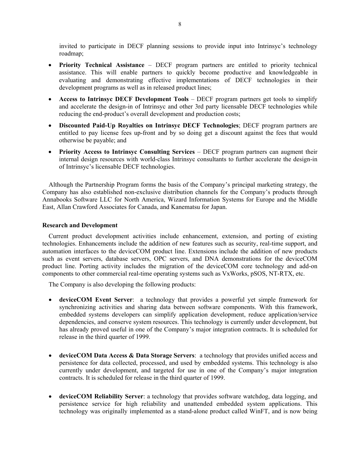invited to participate in DECF planning sessions to provide input into Intrinsyc's technology roadmap;

- **Priority Technical Assistance** DECF program partners are entitled to priority technical assistance. This will enable partners to quickly become productive and knowledgeable in evaluating and demonstrating effective implementations of DECF technologies in their development programs as well as in released product lines;
- **Access to Intrinsyc DECF Development Tools** DECF program partners get tools to simplify and accelerate the design-in of Intrinsyc and other 3rd party licensable DECF technologies while reducing the end-product's overall development and production costs;
- **Discounted Paid-Up Royalties on Intrinsyc DECF Technologies**; DECF program partners are entitled to pay license fees up-front and by so doing get a discount against the fees that would otherwise be payable; and
- **Priority Access to Intrinsyc Consulting Services** DECF program partners can augment their internal design resources with world-class Intrinsyc consultants to further accelerate the design-in of Intrinsyc's licensable DECF technologies.

Although the Partnership Program forms the basis of the Company's principal marketing strategy, the Company has also established non-exclusive distribution channels for the Company's products through Annabooks Software LLC for North America, Wizard Information Systems for Europe and the Middle East, Allan Crawford Associates for Canada, and Kanematsu for Japan.

#### **Research and Development**

Current product development activities include enhancement, extension, and porting of existing technologies. Enhancements include the addition of new features such as security, real-time support, and automation interfaces to the deviceCOM product line. Extensions include the addition of new products such as event servers, database servers, OPC servers, and DNA demonstrations for the deviceCOM product line. Porting activity includes the migration of the deviceCOM core technology and add-on components to other commercial real-time operating systems such as VxWorks, pSOS, NT-RTX, etc.

The Company is also developing the following products:

- **deviceCOM Event Server**: a technology that provides a powerful yet simple framework for synchronizing activities and sharing data between software components. With this framework, embedded systems developers can simplify application development, reduce application/service dependencies, and conserve system resources. This technology is currently under development, but has already proved useful in one of the Company's major integration contracts. It is scheduled for release in the third quarter of 1999.
- **deviceCOM Data Access & Data Storage Servers**: a technology that provides unified access and persistence for data collected, processed, and used by embedded systems. This technology is also currently under development, and targeted for use in one of the Company's major integration contracts. It is scheduled for release in the third quarter of 1999.
- **deviceCOM Reliability Server**: a technology that provides software watchdog, data logging, and persistence service for high reliability and unattended embedded system applications. This technology was originally implemented as a stand-alone product called WinFT, and is now being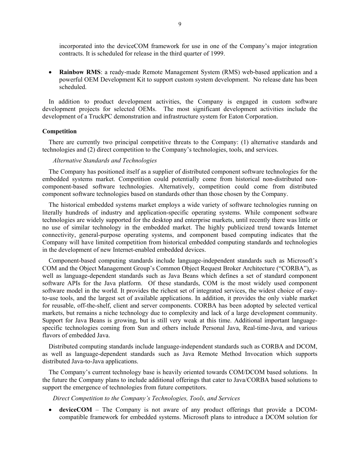incorporated into the deviceCOM framework for use in one of the Company's major integration contracts. It is scheduled for release in the third quarter of 1999.

• **Rainbow RMS**: a ready-made Remote Management System (RMS) web-based application and a powerful OEM Development Kit to support custom system development. No release date has been scheduled.

In addition to product development activities, the Company is engaged in custom software development projects for selected OEMs. The most significant development activities include the development of a TruckPC demonstration and infrastructure system for Eaton Corporation.

#### **Competition**

There are currently two principal competitive threats to the Company: (1) alternative standards and technologies and (2) direct competition to the Company's technologies, tools, and services.

#### *Alternative Standards and Technologies*

The Company has positioned itself as a supplier of distributed component software technologies for the embedded systems market. Competition could potentially come from historical non-distributed noncomponent-based software technologies. Alternatively, competition could come from distributed component software technologies based on standards other than those chosen by the Company.

The historical embedded systems market employs a wide variety of software technologies running on literally hundreds of industry and application-specific operating systems. While component software technologies are widely supported for the desktop and enterprise markets, until recently there was little or no use of similar technology in the embedded market. The highly publicized trend towards Internet connectivity, general-purpose operating systems, and component based computing indicates that the Company will have limited competition from historical embedded computing standards and technologies in the development of new Internet-enabled embedded devices.

Component-based computing standards include language-independent standards such as Microsoft's COM and the Object Management Group's Common Object Request Broker Architecture ("CORBA"), as well as language-dependent standards such as Java Beans which defines a set of standard component software APIs for the Java platform. Of these standards, COM is the most widely used component software model in the world. It provides the richest set of integrated services, the widest choice of easyto-use tools, and the largest set of available applications. In addition, it provides the only viable market for reusable, off-the-shelf, client and server components. CORBA has been adopted by selected vertical markets, but remains a niche technology due to complexity and lack of a large development community. Support for Java Beans is growing, but is still very weak at this time. Additional important languagespecific technologies coming from Sun and others include Personal Java, Real-time-Java, and various flavors of embedded Java.

Distributed computing standards include language-independent standards such as CORBA and DCOM, as well as language-dependent standards such as Java Remote Method Invocation which supports distributed Java-to-Java applications.

The Company's current technology base is heavily oriented towards COM/DCOM based solutions. In the future the Company plans to include additional offerings that cater to Java/CORBA based solutions to support the emergence of technologies from future competitors.

*Direct Competition to the Company's Technologies, Tools, and Services* 

• **deviceCOM** – The Company is not aware of any product offerings that provide a DCOMcompatible framework for embedded systems. Microsoft plans to introduce a DCOM solution for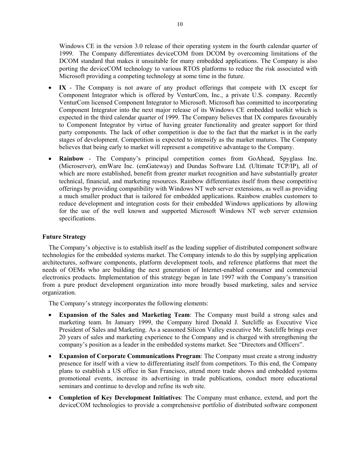Windows CE in the version 3.0 release of their operating system in the fourth calendar quarter of 1999. The Company differentiates deviceCOM from DCOM by overcoming limitations of the DCOM standard that makes it unsuitable for many embedded applications. The Company is also porting the deviceCOM technology to various RTOS platforms to reduce the risk associated with Microsoft providing a competing technology at some time in the future.

- **IX** The Company is not aware of any product offerings that compete with IX except for Component Integrator which is offered by VenturCom, Inc., a private U.S. company. Recently VenturCom licensed Component Integrator to Microsoft. Microsoft has committed to incorporating Component Integrator into the next major release of its Windows CE embedded toolkit which is expected in the third calendar quarter of 1999. The Company believes that IX compares favourably to Component Integrator by virtue of having greater functionality and greater support for third party components. The lack of other competition is due to the fact that the market is in the early stages of development. Competition is expected to intensify as the market matures. The Company believes that being early to market will represent a competitive advantage to the Company.
- **Rainbow** The Company's principal competition comes from GoAhead, Spyglass Inc. (Microserver), emWare Inc. (emGateway) and Dundas Software Ltd. (Ultimate TCP/IP), all of which are more established, benefit from greater market recognition and have substantially greater technical, financial, and marketing resources. Rainbow differentiates itself from these competitive offerings by providing compatibility with Windows NT web server extensions, as well as providing a much smaller product that is tailored for embedded applications. Rainbow enables customers to reduce development and integration costs for their embedded Windows applications by allowing for the use of the well known and supported Microsoft Windows NT web server extension specifications.

#### **Future Strategy**

The Company's objective is to establish itself as the leading supplier of distributed component software technologies for the embedded systems market. The Company intends to do this by supplying application architectures, software components, platform development tools, and reference platforms that meet the needs of OEMs who are building the next generation of Internet-enabled consumer and commercial electronics products. Implementation of this strategy began in late 1997 with the Company's transition from a pure product development organization into more broadly based marketing, sales and service organization.

The Company's strategy incorporates the following elements:

- **Expansion of the Sales and Marketing Team**: The Company must build a strong sales and marketing team. In January 1999, the Company hired Donald J. Sutcliffe as Executive Vice President of Sales and Marketing. As a seasoned Silicon Valley executive Mr. Sutcliffe brings over 20 years of sales and marketing experience to the Company and is charged with strengthening the company's position as a leader in the embedded systems market. See "Directors and Officers".
- **Expansion of Corporate Communications Program**: The Company must create a strong industry presence for itself with a view to differentiating itself from competitors. To this end, the Company plans to establish a US office in San Francisco, attend more trade shows and embedded systems promotional events, increase its advertising in trade publications, conduct more educational seminars and continue to develop and refine its web site.
- **Completion of Key Development Initiatives**: The Company must enhance, extend, and port the deviceCOM technologies to provide a comprehensive portfolio of distributed software component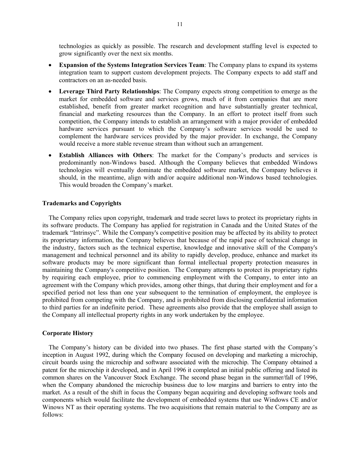technologies as quickly as possible. The research and development staffing level is expected to grow significantly over the next six months.

- **Expansion of the Systems Integration Services Team**: The Company plans to expand its systems integration team to support custom development projects. The Company expects to add staff and contractors on an as-needed basis.
- **Leverage Third Party Relationships**: The Company expects strong competition to emerge as the market for embedded software and services grows, much of it from companies that are more established, benefit from greater market recognition and have substantially greater technical, financial and marketing resources than the Company. In an effort to protect itself from such competition, the Company intends to establish an arrangement with a major provider of embedded hardware services pursuant to which the Company's software services would be used to complement the hardware services provided by the major provider. In exchange, the Company would receive a more stable revenue stream than without such an arrangement.
- **Establish Alliances with Others:** The market for the Company's products and services is predominantly non-Windows based. Although the Company believes that embedded Windows technologies will eventually dominate the embedded software market, the Company believes it should, in the meantime, align with and/or acquire additional non-Windows based technologies. This would broaden the Company's market.

#### **Trademarks and Copyrights**

The Company relies upon copyright, trademark and trade secret laws to protect its proprietary rights in its software products. The Company has applied for registration in Canada and the United States of the trademark "Intrinsyc". While the Company's competitive position may be affected by its ability to protect its proprietary information, the Company believes that because of the rapid pace of technical change in the industry, factors such as the technical expertise, knowledge and innovative skill of the Company's management and technical personnel and its ability to rapidly develop, produce, enhance and market its software products may be more significant than formal intellectual property protection measures in maintaining the Company's competitive position. The Company attempts to protect its proprietary rights by requiring each employee, prior to commencing employment with the Company, to enter into an agreement with the Company which provides, among other things, that during their employment and for a specified period not less than one year subsequent to the termination of employment, the employee is prohibited from competing with the Company, and is prohibited from disclosing confidential information to third parties for an indefinite period. These agreements also provide that the employee shall assign to the Company all intellectual property rights in any work undertaken by the employee.

#### **Corporate History**

The Company's history can be divided into two phases. The first phase started with the Company's inception in August 1992, during which the Company focused on developing and marketing a microchip, circuit boards using the microchip and software associated with the microchip. The Company obtained a patent for the microchip it developed, and in April 1996 it completed an initial public offering and listed its common shares on the Vancouver Stock Exchange. The second phase began in the summer/fall of 1996, when the Company abandoned the microchip business due to low margins and barriers to entry into the market. As a result of the shift in focus the Company began acquiring and developing software tools and components which would facilitate the development of embedded systems that use Windows CE and/or Winows NT as their operating systems. The two acquisitions that remain material to the Company are as follows: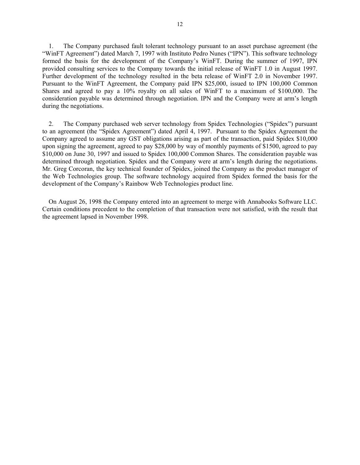1. The Company purchased fault tolerant technology pursuant to an asset purchase agreement (the "WinFT Agreement") dated March 7, 1997 with Instituto Pedro Nunes ("IPN"). This software technology formed the basis for the development of the Company's WinFT. During the summer of 1997, IPN provided consulting services to the Company towards the initial release of WinFT 1.0 in August 1997. Further development of the technology resulted in the beta release of WinFT 2.0 in November 1997. Pursuant to the WinFT Agreement, the Company paid IPN \$25,000, issued to IPN 100,000 Common Shares and agreed to pay a 10% royalty on all sales of WinFT to a maximum of \$100,000. The consideration payable was determined through negotiation. IPN and the Company were at arm's length during the negotiations.

2. The Company purchased web server technology from Spidex Technologies ("Spidex") pursuant to an agreement (the "Spidex Agreement") dated April 4, 1997. Pursuant to the Spidex Agreement the Company agreed to assume any GST obligations arising as part of the transaction, paid Spidex \$10,000 upon signing the agreement, agreed to pay \$28,000 by way of monthly payments of \$1500, agreed to pay \$10,000 on June 30, 1997 and issued to Spidex 100,000 Common Shares. The consideration payable was determined through negotiation. Spidex and the Company were at arm's length during the negotiations. Mr. Greg Corcoran, the key technical founder of Spidex, joined the Company as the product manager of the Web Technologies group. The software technology acquired from Spidex formed the basis for the development of the Company's Rainbow Web Technologies product line.

On August 26, 1998 the Company entered into an agreement to merge with Annabooks Software LLC. Certain conditions precedent to the completion of that transaction were not satisfied, with the result that the agreement lapsed in November 1998.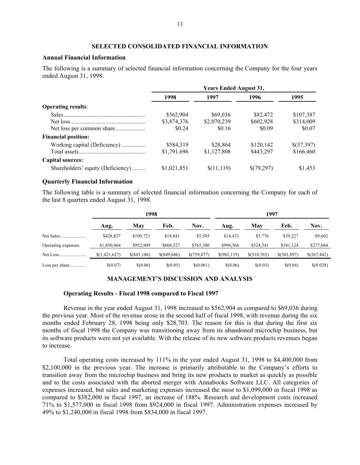#### **SELECTED CONSOLIDATED FINANCIAL INFORMATION**

#### **Annual Financial Information**

The following is a summary of selected financial information concerning the Company for the four years ended August 31, 1998.

|                                   | <b>Years Ended August 31,</b> |             |            |            |  |
|-----------------------------------|-------------------------------|-------------|------------|------------|--|
|                                   | 1998                          | 1997        | 1996       | 1995       |  |
| <b>Operating results:</b>         |                               |             |            |            |  |
|                                   | \$562,904                     | \$69,036    | \$82,472   | \$107,387  |  |
|                                   | \$3,874,376                   | \$2,070,239 | \$602,928  | \$314,009  |  |
|                                   | \$0.24                        | \$0.16      | \$0.09     | \$0.07     |  |
| <b>Financial position:</b>        |                               |             |            |            |  |
| Working capital (Deficiency)      | \$584,319                     | \$28,864    | \$120,142  | \$(37,397) |  |
|                                   | \$1,791,696                   | \$1,127,808 | \$443,297  | \$166,460  |  |
| <b>Capital sources:</b>           |                               |             |            |            |  |
| Shareholders' equity (Deficiency) | \$1,021,851                   | \$(11,119)  | \$(79,297) | \$1,453    |  |

#### **Quarterly Financial Information**

The following table is a summary of selected financial information concerning the Company for each of the last 8 quarters ended August 31, 1998.

|                    | 1998          |               |               | 1997        |              |             |             |             |
|--------------------|---------------|---------------|---------------|-------------|--------------|-------------|-------------|-------------|
|                    | Aug.          | May           | Feb.          | Nov.        | Aug.         | May         | Feb.        | Nov.        |
|                    | \$428,837     | \$109.723     | \$18.841      | \$5,503     | \$14.431     | \$5,776     | \$39,227    | \$9,602     |
| Operating expenses | \$1,850,464   | \$952,909     | \$868,527     | \$765,380   | \$996,566    | \$524,541   | \$341,124   | \$277,044   |
| Net Loss           | \$(1,421,627) | $$$ (843,186) | $$$ (849,686) | \$(759.877) | \$(982, 135) | \$(518,765) | \$(301,897) | \$(267,442) |
| Loss per share     | \$(0.07)      | \$(0.06)      | \$(0.05)      | \$(0.061)   | \$(0.06)     | \$(0.03)    | \$(0.04)    | \$(0.028)   |

#### **MANAGEMENT'S DISCUSSION AND ANALYSIS**

#### **Operating Results - Fiscal 1998 compared to Fiscal 1997**

Revenue in the year ended August 31, 1998 increased to \$562,904 as compared to \$69,036 during the previous year. Most of the revenue arose in the second half of fiscal 1998, with revenue during the six months ended February 28, 1998 being only \$28,703. The reason for this is that during the first six months of fiscal 1998 the Company was transitioning away from its abandoned microchip business, but its software products were not yet available. With the release of its new software products revenues began to increase.

Total operating costs increased by 111% in the year ended August 31, 1998 to \$4,400,000 from \$2,100,000 in the previous year. The increase is primarily attributable to the Company's efforts to transition away from the microchip business and bring its new products to market as quickly as possible and to the costs associated with the aborted merger with Annabooks Software LLC. All categories of expenses increased, but sales and marketing expenses increased the most to \$1,099,000 in fiscal 1998 as compared to \$382,000 in fiscal 1997, an increase of 188%. Research and development costs increased 71% to \$1,577,000 in fiscal 1998 from \$924,000 in fiscal 1997. Administration expenses increased by 49% to \$1,240,000 in fiscal 1998 from \$834,000 in fiscal 1997.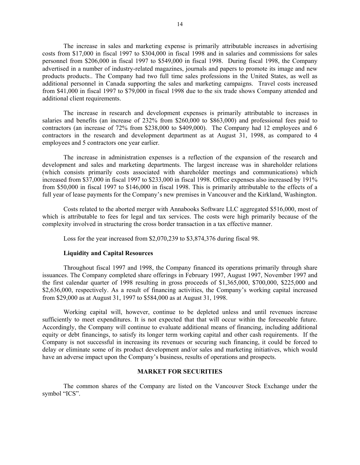The increase in sales and marketing expense is primarily attributable increases in advertising costs from \$17,000 in fiscal 1997 to \$304,000 in fiscal 1998 and in salaries and commissions for sales personnel from \$206,000 in fiscal 1997 to \$549,000 in fiscal 1998. During fiscal 1998, the Company advertised in a number of industry-related magazines, journals and papers to promote its image and new products products.. The Company had two full time sales professions in the United States, as well as additional personnel in Canada supporting the sales and marketing campaigns. Travel costs increased from \$41,000 in fiscal 1997 to \$79,000 in fiscal 1998 due to the six trade shows Company attended and additional client requirements.

The increase in research and development expenses is primarily attributable to increases in salaries and benefits (an increase of 232% from \$260,000 to \$863,000) and professional fees paid to contractors (an increase of 72% from \$238,000 to \$409,000). The Company had 12 employees and 6 contractors in the research and development department as at August 31, 1998, as compared to 4 employees and 5 contractors one year earlier.

The increase in administration expenses is a reflection of the expansion of the research and development and sales and marketing departments. The largest increase was in shareholder relations (which consists primarily costs associated with shareholder meetings and communications) which increased from \$37,000 in fiscal 1997 to \$233,000 in fiscal 1998. Office expenses also increased by 191% from \$50,000 in fiscal 1997 to \$146,000 in fiscal 1998. This is primarily attributable to the effects of a full year of lease payments for the Company's new premises in Vancouver and the Kirkland, Washington.

Costs related to the aborted merger with Annabooks Software LLC aggregated \$516,000, most of which is attributable to fees for legal and tax services. The costs were high primarily because of the complexity involved in structuring the cross border transaction in a tax effective manner.

Loss for the year increased from \$2,070,239 to \$3,874,376 during fiscal 98.

#### **Liquidity and Capital Resources**

Throughout fiscal 1997 and 1998, the Company financed its operations primarily through share issuances. The Company completed share offerings in February 1997, August 1997, November 1997 and the first calendar quarter of 1998 resulting in gross proceeds of \$1,365,000, \$700,000, \$225,000 and \$2,636,000, respectively. As a result of financing activities, the Company's working capital increased from \$29,000 as at August 31, 1997 to \$584,000 as at August 31, 1998.

Working capital will, however, continue to be depleted unless and until revenues increase sufficiently to meet expenditures. It is not expected that that will occur within the foreseeable future. Accordingly, the Company will continue to evaluate additional means of financing, including additional equity or debt financings, to satisfy its longer term working capital and other cash requirements. If the Company is not successful in increasing its revenues or securing such financing, it could be forced to delay or eliminate some of its product development and/or sales and marketing initiatives, which would have an adverse impact upon the Company's business, results of operations and prospects.

#### **MARKET FOR SECURITIES**

The common shares of the Company are listed on the Vancouver Stock Exchange under the symbol "ICS".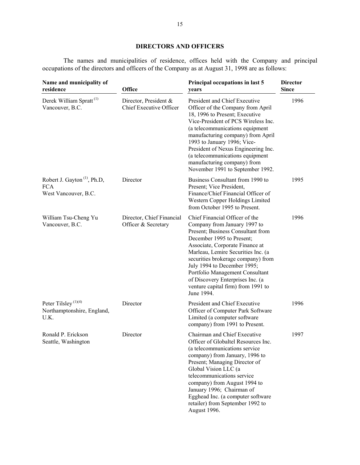## **DIRECTORS AND OFFICERS**

The names and municipalities of residence, offices held with the Company and principal occupations of the directors and officers of the Company as at August 31, 1998 are as follows:

| Name and municipality of<br>residence                                         | Office                                           | Principal occupations in last 5<br>years                                                                                                                                                                                                                                                                                                                                                                  | <b>Director</b><br><b>Since</b> |
|-------------------------------------------------------------------------------|--------------------------------------------------|-----------------------------------------------------------------------------------------------------------------------------------------------------------------------------------------------------------------------------------------------------------------------------------------------------------------------------------------------------------------------------------------------------------|---------------------------------|
| Derek William Spratt <sup>(1)</sup><br>Vancouver, B.C.                        | Director, President &<br>Chief Executive Officer | President and Chief Executive<br>Officer of the Company from April<br>18, 1996 to Present; Executive<br>Vice-President of PCS Wireless Inc.<br>(a telecommunications equipment<br>manufacturing company) from April<br>1993 to January 1996; Vice-<br>President of Nexus Engineering Inc.<br>(a telecommunications equipment<br>manufacturing company) from<br>November 1991 to September 1992.           | 1996                            |
| Robert J. Gayton <sup>(1)</sup> , Ph.D,<br><b>FCA</b><br>West Vancouver, B.C. | Director                                         | Business Consultant from 1990 to<br>Present; Vice President,<br>Finance/Chief Financial Officer of<br>Western Copper Holdings Limited<br>from October 1995 to Present.                                                                                                                                                                                                                                    | 1995                            |
| William Tsu-Cheng Yu<br>Vancouver, B.C.                                       | Director, Chief Financial<br>Officer & Secretary | Chief Financial Officer of the<br>Company from January 1997 to<br>Present; Business Consultant from<br>December 1995 to Present;<br>Associate, Corporate Finance at<br>Marleau, Lemire Securities Inc. (a<br>securities brokerage company) from<br>July 1994 to December 1995;<br>Portfolio Management Consultant<br>of Discovery Enterprises Inc. (a<br>venture capital firm) from 1991 to<br>June 1994. | 1996                            |
| Peter Tilsley <sup>(1)(4)</sup><br>Northamptonshire, England,<br>U.K.         | Director                                         | President and Chief Executive<br>Officer of Computer Park Software<br>Limited (a computer software<br>company) from 1991 to Present.                                                                                                                                                                                                                                                                      | 1996                            |
| Ronald P. Erickson<br>Seattle, Washington                                     | Director                                         | Chairman and Chief Executive<br>Officer of Globaltel Resources Inc.<br>(a telecommunications service<br>company) from January, 1996 to<br>Present; Managing Director of<br>Global Vision LLC (a<br>telecommunications service<br>company) from August 1994 to<br>January 1996; Chairman of<br>Egghead Inc. (a computer software<br>retailer) from September 1992 to<br>August 1996.                       | 1997                            |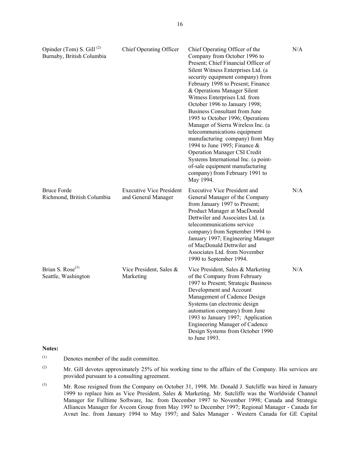| Opinder (Tom) S. Gill $^{(2)}$<br>Burnaby, British Columbia | Chief Operating Officer                                | Chief Operating Officer of the<br>Company from October 1996 to<br>Present; Chief Financial Officer of<br>Silent Witness Enterprises Ltd. (a<br>security equipment company) from<br>February 1998 to Present; Finance<br>& Operations Manager Silent<br>Witness Enterprises Ltd. from<br>October 1996 to January 1998;<br><b>Business Consultant from June</b><br>1995 to October 1996; Operations<br>Manager of Sierra Wireless Inc. (a<br>telecommunications equipment<br>manufacturing company) from May<br>1994 to June 1995; Finance &<br><b>Operation Manager CSI Credit</b><br>Systems International Inc. (a point-<br>of-sale equipment manufacturing<br>company) from February 1991 to<br>May 1994. | N/A |
|-------------------------------------------------------------|--------------------------------------------------------|-------------------------------------------------------------------------------------------------------------------------------------------------------------------------------------------------------------------------------------------------------------------------------------------------------------------------------------------------------------------------------------------------------------------------------------------------------------------------------------------------------------------------------------------------------------------------------------------------------------------------------------------------------------------------------------------------------------|-----|
| <b>Bruce Forde</b><br>Richmond, British Columbia            | <b>Executive Vice President</b><br>and General Manager | <b>Executive Vice President and</b><br>General Manager of the Company<br>from January 1997 to Present;<br>Product Manager at MacDonald<br>Dettwiler and Associates Ltd. (a<br>telecommunications service<br>company) from September 1994 to<br>January 1997; Engineering Manager<br>of MacDonald Dettwiler and<br>Associates Ltd. from November<br>1990 to September 1994.                                                                                                                                                                                                                                                                                                                                  | N/A |
| Brian S. Rose <sup>(3)</sup><br>Seattle, Washington         | Vice President, Sales &<br>Marketing                   | Vice President, Sales & Marketing<br>of the Company from February<br>1997 to Present; Strategic Business<br>Development and Account<br>Management of Cadence Design<br>Systems (an electronic design<br>automation company) from June<br>1993 to January 1997; Application<br>Engineering Manager of Cadence<br>Design Systems from October 1990<br>to June 1993.                                                                                                                                                                                                                                                                                                                                           | N/A |

#### **Notes:**

- (1) Denotes member of the audit committee.
- <sup>(2)</sup> Mr. Gill devotes approximately 25% of his working time to the affairs of the Company. His services are provided pursuant to a consulting agreement.
- (3) Mr. Rose resigned from the Company on October 31, 1998. Mr. Donald J. Sutcliffe was hired in January 1999 to replace him as Vice President, Sales & Marketing. Mr. Sutcliffe was the Worldwide Channel Manager for Fulltime Software, Inc. from December 1997 to November 1998; Canada and Strategic Alliances Manager for Avcom Group from May 1997 to December 1997; Regional Manager - Canada for Avnet Inc. from January 1994 to May 1997; and Sales Manager - Western Canada for GE Capital